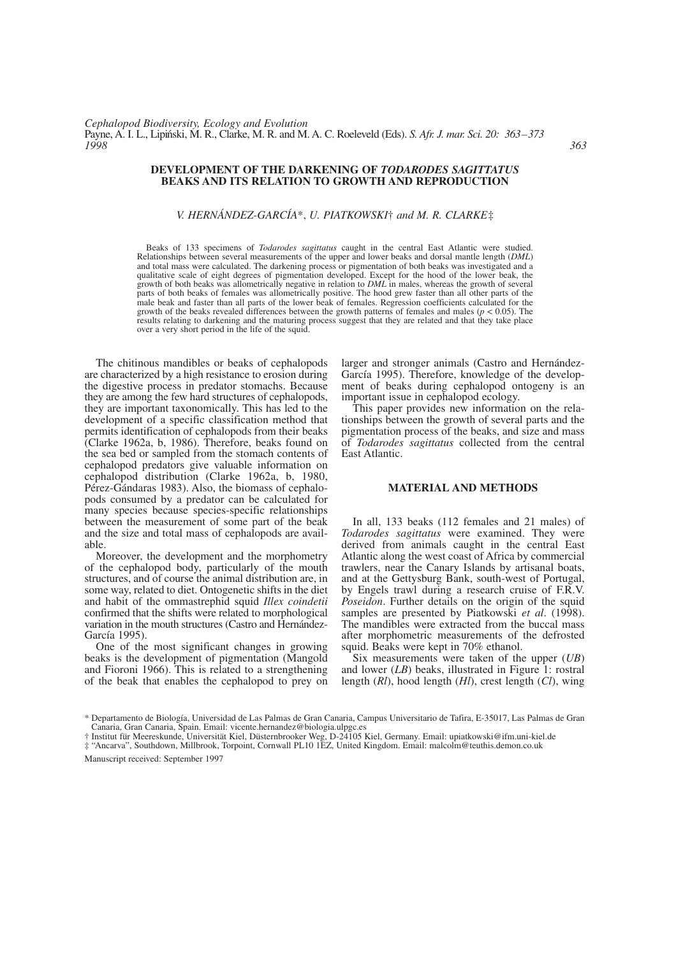### **DEVELOPMENT OF THE DARKENING OF** *TODARODES SAGITTATUS* **BEAKS AND ITS RELATION TO GROWTH AND REPRODUCTION**

## *V. HERNÁNDEZ-GARCÍA*\*, *U. PIATKOWSKI*† *and M. R. CLARKE*‡

Beaks of 133 specimens of *Todarodes sagittatus* caught in the central East Atlantic were studied. Relationships between several measurements of the upper and lower beaks and dorsal mantle length (*DML*) and total mass were calculated. The darkening process or pigmentation of both beaks was investigated and a qualitative scale of eight degrees of pigmentation developed. Except for the hood of the lower beak, the growth of both beaks was allometrically negative in relation to *DML* in males, whereas the growth of several parts of both beaks of females was allometrically positive. The hood grew faster than all other parts of the male beak and faster than all parts of the lower beak of females. Regression coefficients calculated for the growth of the beaks revealed differences between the growth patterns of females and males (*p* < 0.05). The results relating to darkening and the maturing process suggest that they are related and that they take place over a very short period in the life of the squid.

The chitinous mandibles or beaks of cephalopods are characterized by a high resistance to erosion during the digestive process in predator stomachs. Because they are among the few hard structures of cephalopods, they are important taxonomically. This has led to the development of a specific classification method that permits identification of cephalopods from their beaks (Clarke 1962a, b, 1986). Therefore, beaks found on the sea bed or sampled from the stomach contents of cephalopod predators give valuable information on cephalopod distribution (Clarke 1962a, b, 1980, Pérez-Gándaras 1983). Also, the biomass of cephalopods consumed by a predator can be calculated for many species because species-specific relationships between the measurement of some part of the beak and the size and total mass of cephalopods are available.

Moreover, the development and the morphometry of the cephalopod body, particularly of the mouth structures, and of course the animal distribution are, in some way, related to diet. Ontogenetic shifts in the diet and habit of the ommastrephid squid *Illex coindetii* confirmed that the shifts were related to morphological variation in the mouth structures (Castro and Hernández-García 1995).

One of the most significant changes in growing beaks is the development of pigmentation (Mangold and Fioroni 1966). This is related to a strengthening of the beak that enables the cephalopod to prey on larger and stronger animals (Castro and Hernández-García 1995). Therefore, knowledge of the development of beaks during cephalopod ontogeny is an important issue in cephalopod ecology.

This paper provides new information on the relationships between the growth of several parts and the pigmentation process of the beaks, and size and mass of *Todarodes sagittatus* collected from the central East Atlantic.

## **MATERIAL AND METHODS**

In all, 133 beaks (112 females and 21 males) of *Todarodes sagittatus* were examined. They were derived from animals caught in the central East Atlantic along the west coast of Africa by commercial trawlers, near the Canary Islands by artisanal boats, and at the Gettysburg Bank, south-west of Portugal, by Engels trawl during a research cruise of F.R.V. *Poseidon*. Further details on the origin of the squid samples are presented by Piatkowski *et al*. (1998). The mandibles were extracted from the buccal mass after morphometric measurements of the defrosted squid. Beaks were kept in 70% ethanol.

Six measurements were taken of the upper (*UB*) and lower (*LB*) beaks, illustrated in Figure 1: rostral length (*Rl*), hood length (*Hl*), crest length (*Cl*), wing

Manuscript received: September 1997

<sup>\*</sup> Departamento de Biología, Universidad de Las Palmas de Gran Canaria, Campus Universitario de Tafira, E-35017, Las Palmas de Gran Canaria, Gran Canaria, Spain. Email: vicente.hernandez@biologia.ulpgc.es

<sup>†</sup> Institut für Meereskunde, Universität Kiel, Düsternbrooker Weg, D-24105 Kiel, Germany. Email: upiatkowski@ifm.uni-kiel.de

<sup>‡ &</sup>quot;Ancarva", Southdown, Millbrook, Torpoint, Cornwall PL10 1EZ, United Kingdom. Email: malcolm@teuthis.demon.co.uk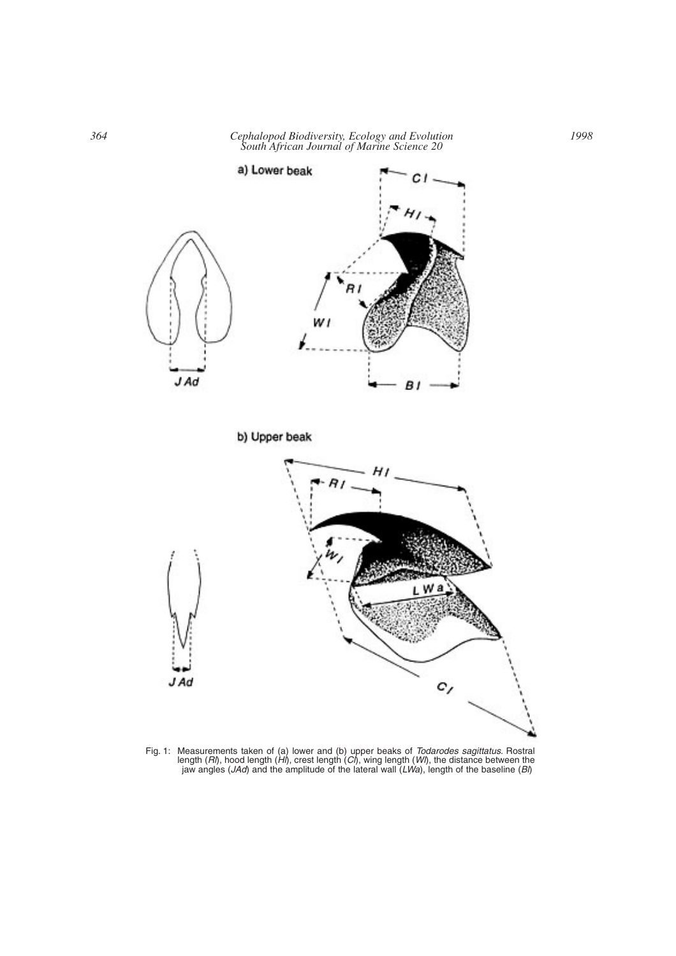*364 Cephalopod Biodiversity, Ecology and Evolution South African Journal of Marine Science 20*



Fig. 1: Measurements taken of (a) lower and (b) upper beaks of *Todarodes sagittatus*. Rostral length (*Rl*), hood length (*Hl*), crest length (*Cl*), wing length (*Wl*), the distance between the jaw angles (*JAd*) and the amplitude of the lateral wall (*LWa*), length of the baseline (*Bl*)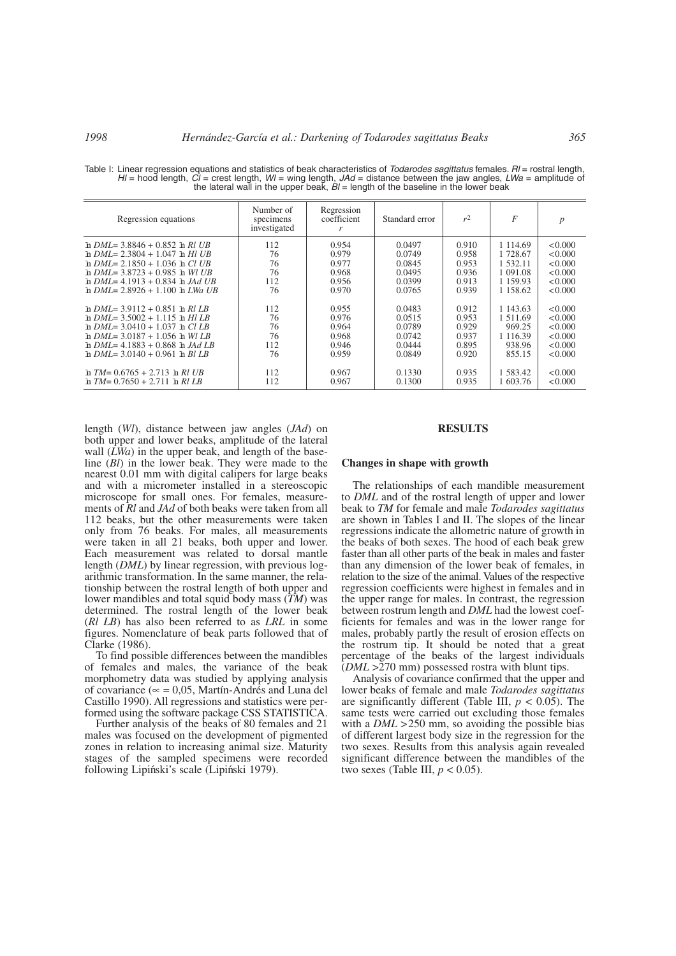| Regression equations               | Number of<br>specimens<br>investigated | Regression<br>coefficient<br>r | Standard error | r <sup>2</sup> | F           | $\boldsymbol{p}$ |
|------------------------------------|----------------------------------------|--------------------------------|----------------|----------------|-------------|------------------|
| $h$ DML= 3.8846 + 0.852 h Rl UB    | 112                                    | 0.954                          | 0.0497         | 0.910          | 1 1 1 4 .69 | < 0.000          |
| $h$ DML= 2.3804 + 1.047 $h$ Hl UB  | 76                                     | 0.979                          | 0.0749         | 0.958          | 1 728.67    | < 0.000          |
| $h$ DML= 2.1850 + 1.036 $h$ Cl UB  | 76                                     | 0.977                          | 0.0845         | 0.953          | 1 532.11    | < 0.000          |
| $h$ DML= 3.8723 + 0.985 $h$ Wl UB  | 76                                     | 0.968                          | 0.0495         | 0.936          | 1 091.08    | < 0.000          |
| $h$ DML = 4.1913 + 0.834 h JAd UB  | 112                                    | 0.956                          | 0.0399         | 0.913          | 1 1 5 9 9 3 | < 0.000          |
| $h$ DML= 2.8926 + 1.100 $h$ LWa UB | 76                                     | 0.970                          | 0.0765         | 0.939          | 1 158.62    | < 0.000          |
| $h$ DML= 3.9112 + 0.851 $h$ Rl LB  | 112                                    | 0.955                          | 0.0483         | 0.912          | 1 143.63    | < 0.000          |
| $h$ DML= 3.5002 + 1.115 $h$ Hl LB  | 76                                     | 0.976                          | 0.0515         | 0.953          | 1 511.69    | < 0.000          |
| h $DMI = 3.0410 + 1.037$ h Cl LB   | 76                                     | 0.964                          | 0.0789         | 0.929          | 969.25      | < 0.000          |
| h $DMI = 3.0187 + 1.056$ h Wl LB   | 76                                     | 0.968                          | 0.0742         | 0.937          | 1 1 1 6 3 9 | < 0.000          |
| $h$ DML= 4.1883 + 0.868 $h$ JAd LB | 112                                    | 0.946                          | 0.0444         | 0.895          | 938.96      | < 0.000          |
| $h$ DML= 3.0140 + 0.961 $h$ Bl LB  | 76                                     | 0.959                          | 0.0849         | 0.920          | 855.15      | < 0.000          |
| $\ln TM = 0.6765 + 2.713 \ln RIUB$ | 112                                    | 0.967                          | 0.1330         | 0.935          | 1 583.42    | < 0.000          |
| $\ln TM = 0.7650 + 2.711 \ln RILB$ | 112                                    | 0.967                          | 0.1300         | 0.935          | 1 603.76    | < 0.000          |

Table I: Linear regression equations and statistics of beak characteristics of *Todarodes sagittatus* females. *Rl* = rostral length, *HI* = hood length, *CI* = crest length, *WI* = wing length, *JAd* = distance between the jaw angles, *LWa* = amplitude of the lateral wall in the upper beak,  $B$  = length of the baseline in the lower beak

length (*Wl*), distance between jaw angles (*JAd*) on both upper and lower beaks, amplitude of the lateral wall  $(\bar{L}Wa)$  in the upper beak, and length of the baseline (*Bl*) in the lower beak. They were made to the nearest 0.01 mm with digital calipers for large beaks and with a micrometer installed in a stereoscopic microscope for small ones. For females, measurements of *Rl* and *JAd* of both beaks were taken from all 112 beaks, but the other measurements were taken only from 76 beaks. For males, all measurements were taken in all 21 beaks, both upper and lower. Each measurement was related to dorsal mantle length (*DML*) by linear regression, with previous logarithmic transformation. In the same manner, the relationship between the rostral length of both upper and lower mandibles and total squid body mass (*TM*) was determined. The rostral length of the lower beak (*Rl LB*) has also been referred to as *LRL* in some figures. Nomenclature of beak parts followed that of Clarke (1986).

To find possible differences between the mandibles of females and males, the variance of the beak morphometry data was studied by applying analysis of covariance (∝ = 0,05, Martín-Andrés and Luna del Castillo 1990). All regressions and statistics were performed using the software package CSS STATISTICA.

Further analysis of the beaks of 80 females and 21 males was focused on the development of pigmented zones in relation to increasing animal size. Maturity stages of the sampled specimens were recorded following Lipiński's scale (Lipiński 1979).

### **RESULTS**

#### **Changes in shape with growth**

The relationships of each mandible measurement to *DML* and of the rostral length of upper and lower beak to *TM* for female and male *Todarodes sagittatus* are shown in Tables I and II. The slopes of the linear regressions indicate the allometric nature of growth in the beaks of both sexes. The hood of each beak grew faster than all other parts of the beak in males and faster than any dimension of the lower beak of females, in relation to the size of the animal. Values of the respective regression coefficients were highest in females and in the upper range for males. In contrast, the regression between rostrum length and *DML* had the lowest coefficients for females and was in the lower range for males, probably partly the result of erosion effects on the rostrum tip. It should be noted that a great percentage of the beaks of the largest individuals (*DML* >270 mm) possessed rostra with blunt tips.

Analysis of covariance confirmed that the upper and lower beaks of female and male *Todarodes sagittatus* are significantly different (Table III,  $p < 0.05$ ). The same tests were carried out excluding those females with a *DML* > 250 mm, so avoiding the possible bias of different largest body size in the regression for the two sexes. Results from this analysis again revealed significant difference between the mandibles of the two sexes (Table III,  $p < 0.05$ ).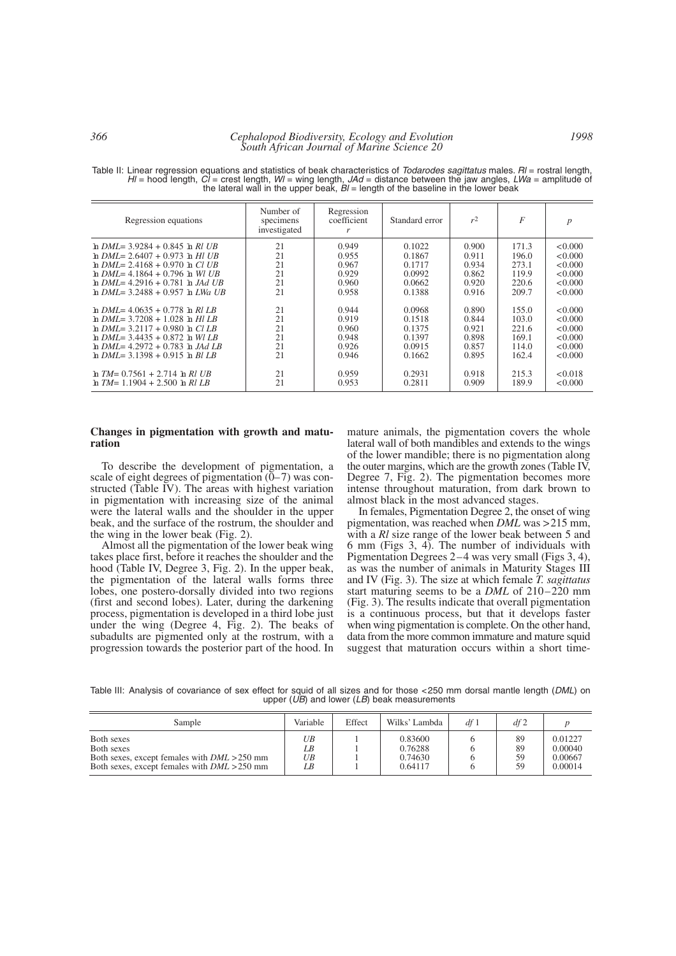*366 Cephalopod Biodiversity, Ecology and Evolution South African Journal of Marine Science 20*

| Regression equations               | Number of<br>specimens<br>investigated | Regression<br>coefficient<br>r | Standard error | r <sup>2</sup> | $\overline{F}$ | p       |
|------------------------------------|----------------------------------------|--------------------------------|----------------|----------------|----------------|---------|
| $h$ DML= 3.9284 + 0.845 $h$ Rl UB  | 21                                     | 0.949                          | 0.1022         | 0.900          | 171.3          | < 0.000 |
| $h$ DML= 2.6407 + 0.973 $h$ Hl UB  | 21                                     | 0.955                          | 0.1867         | 0.911          | 196.0          | < 0.000 |
| h $DMI = 2.4168 + 0.970$ h Cl UB   | 21                                     | 0.967                          | 0.1717         | 0.934          | 273.1          | < 0.000 |
| h $DMI = 4.1864 + 0.796$ h Wl UB   | 21                                     | 0.929                          | 0.0992         | 0.862          | 119.9          | < 0.000 |
| $h$ DMI = 4.2916 + 0.781 h JAd UB  | 21                                     | 0.960                          | 0.0662         | 0.920          | 220.6          | < 0.000 |
| $h$ DML= 3.2488 + 0.957 $h$ LWa UB | 21                                     | 0.958                          | 0.1388         | 0.916          | 209.7          | < 0.000 |
| h $DMI = 4.0635 + 0.778$ h Rl LB   | 21                                     | 0.944                          | 0.0968         | 0.890          | 155.0          | < 0.000 |
| $h$ DML= 3.7208 + 1.028 $h$ Hl LB  | 21                                     | 0.919                          | 0.1518         | 0.844          | 103.0          | < 0.000 |
| h $DMI = 3.2117 + 0.980$ h Cl LB   | 21                                     | 0.960                          | 0.1375         | 0.921          | 221.6          | < 0.000 |
| $h$ DMI = 3.4435 + 0.872 h WILB    | 21                                     | 0.948                          | 0.1397         | 0.898          | 169.1          | < 0.000 |
| $h$ DML= 4.2972 + 0.783 $h$ JAd LB | 21                                     | 0.926                          | 0.0915         | 0.857          | 114.0          | < 0.000 |
| $h$ DML= 3.1398 + 0.915 h BLLB     | 21                                     | 0.946                          | 0.1662         | 0.895          | 162.4          | < 0.000 |
| $\ln TM = 0.7561 + 2.714 \ln RIUB$ | 21                                     | 0.959                          | 0.2931         | 0.918          | 215.3          | < 0.018 |
| $\ln TM = 1.1904 + 2.500 \ln RILB$ | 21                                     | 0.953                          | 0.2811         | 0.909          | 189.9          | < 0.000 |

Table II: Linear regression equations and statistics of beak characteristics of *Todarodes sagittatus* males. *Rl* = rostral length, *Hl* = hood length, *Cl* = crest length, *Wl* = wing length, *JAd* = distance between the jaw angles, *LWa* = amplitude of the lateral wall in the upper beak,  $B$  = length of the baseline in the lower beak

### **Changes in pigmentation with growth and maturation**

To describe the development of pigmentation, a scale of eight degrees of pigmentation  $(0-7)$  was constructed (Table IV). The areas with highest variation in pigmentation with increasing size of the animal were the lateral walls and the shoulder in the upper beak, and the surface of the rostrum, the shoulder and the wing in the lower beak (Fig. 2).

Almost all the pigmentation of the lower beak wing takes place first, before it reaches the shoulder and the hood (Table IV, Degree 3, Fig. 2). In the upper beak, the pigmentation of the lateral walls forms three lobes, one postero-dorsally divided into two regions (first and second lobes). Later, during the darkening process, pigmentation is developed in a third lobe just under the wing (Degree 4, Fig. 2). The beaks of subadults are pigmented only at the rostrum, with a progression towards the posterior part of the hood. In mature animals, the pigmentation covers the whole lateral wall of both mandibles and extends to the wings of the lower mandible; there is no pigmentation along the outer margins, which are the growth zones (Table IV, Degree 7, Fig. 2). The pigmentation becomes more intense throughout maturation, from dark brown to almost black in the most advanced stages.

In females, Pigmentation Degree 2, the onset of wing pigmentation, was reached when *DML* was >215 mm, with a *Rl* size range of the lower beak between 5 and 6 mm (Figs 3, 4). The number of individuals with Pigmentation Degrees 2–4 was very small (Figs 3, 4), as was the number of animals in Maturity Stages III and IV (Fig. 3). The size at which female *T. sagittatus* start maturing seems to be a *DML* of 210–220 mm (Fig. 3). The results indicate that overall pigmentation is a continuous process, but that it develops faster when wing pigmentation is complete. On the other hand, data from the more common immature and mature squid suggest that maturation occurs within a short time-

Table III: Analysis of covariance of sex effect for squid of all sizes and for those <250 mm dorsal mantle length (*DML*) on upper (*UB*) and lower (*LB*) beak measurements

| Sample                                                                                                                       | Variable             | Effect | Wilks' Lambda                            | df 1 | df2                  |                                          |
|------------------------------------------------------------------------------------------------------------------------------|----------------------|--------|------------------------------------------|------|----------------------|------------------------------------------|
| Both sexes<br>Both sexes<br>Both sexes, except females with $DML > 250$ mm<br>Both sexes, except females with $DML > 250$ mm | UB<br>LB<br>UB<br>LB |        | 0.83600<br>0.76288<br>0.74630<br>0.64117 |      | 89<br>89<br>59<br>59 | 0.01227<br>0.00040<br>0.00667<br>0.00014 |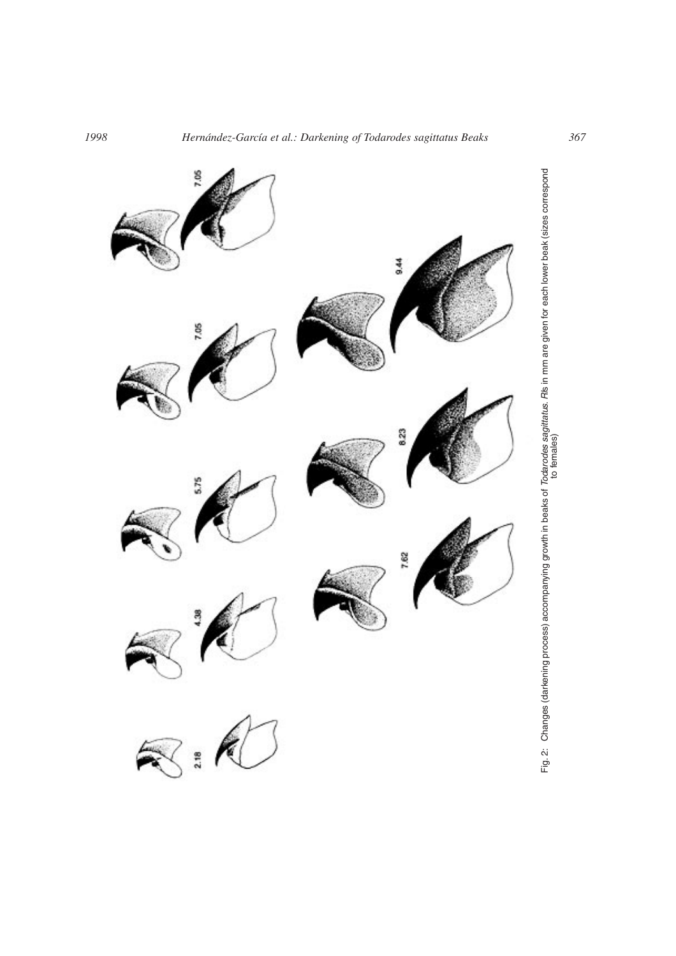

Fig. 2: Changes (darkening process) accompanying growth in beaks of *Todarodes sagittatus. Ri*ls in mm are given for each lower beak (sizes correspond<br>to females) Fig. 2: Changes (darkening process) accompanying growth in beaks of *Todarodes sagittatus*. *Rl*s in mm are given for each lower beak (sizes correspond to females)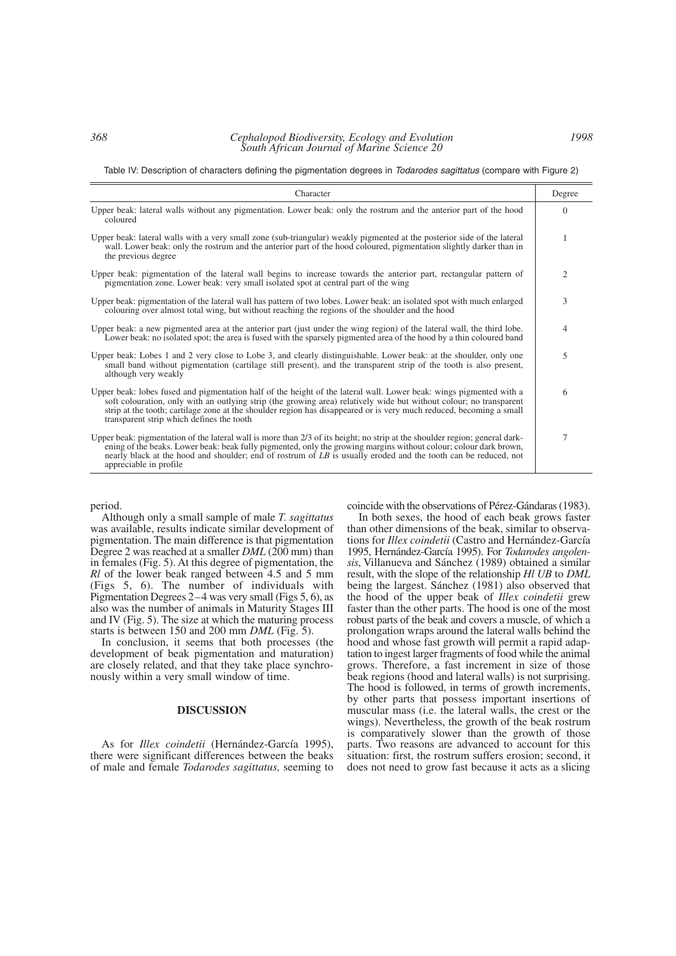Table IV: Description of characters defining the pigmentation degrees in *Todarodes sagittatus* (compare with Figure 2)

| Character                                                                                                                                                                                                                                                                                                                                                                                                      |                |  |  |  |
|----------------------------------------------------------------------------------------------------------------------------------------------------------------------------------------------------------------------------------------------------------------------------------------------------------------------------------------------------------------------------------------------------------------|----------------|--|--|--|
| Upper beak: lateral walls without any pigmentation. Lower beak: only the rostrum and the anterior part of the hood<br>coloured                                                                                                                                                                                                                                                                                 | $\Omega$       |  |  |  |
| Upper beak: lateral walls with a very small zone (sub-triangular) weakly pigmented at the posterior side of the lateral<br>wall. Lower beak: only the rostrum and the anterior part of the hood coloured, pigmentation slightly darker than in<br>the previous degree                                                                                                                                          | 1              |  |  |  |
| Upper beak: pigmentation of the lateral wall begins to increase towards the anterior part, rectangular pattern of<br>pigmentation zone. Lower beak: very small isolated spot at central part of the wing                                                                                                                                                                                                       | $\overline{c}$ |  |  |  |
| Upper beak: pigmentation of the lateral wall has pattern of two lobes. Lower beak: an isolated spot with much enlarged<br>colouring over almost total wing, but without reaching the regions of the shoulder and the hood                                                                                                                                                                                      | 3              |  |  |  |
| Upper beak: a new pigmented area at the anterior part (just under the wing region) of the lateral wall, the third lobe.<br>Lower beak: no isolated spot; the area is fused with the sparsely pigmented area of the hood by a thin coloured band                                                                                                                                                                | 4              |  |  |  |
| Upper beak: Lobes 1 and 2 very close to Lobe 3, and clearly distinguishable. Lower beak: at the shoulder, only one<br>small band without pigmentation (cartilage still present), and the transparent strip of the tooth is also present,<br>although very weakly                                                                                                                                               | 5              |  |  |  |
| Upper beak: lobes fused and pigmentation half of the height of the lateral wall. Lower beak: wings pigmented with a<br>soft colouration, only with an outlying strip (the growing area) relatively wide but without colour; no transparent<br>strip at the tooth; cartilage zone at the shoulder region has disappeared or is very much reduced, becoming a small<br>transparent strip which defines the tooth | 6              |  |  |  |
| Upper beak: pigmentation of the lateral wall is more than 2/3 of its height; no strip at the shoulder region; general dark-<br>ening of the beaks. Lower beak: beak fully pigmented, only the growing margins without colour; colour dark brown,<br>nearly black at the hood and shoulder; end of rostrum of LB is usually eroded and the tooth can be reduced, not<br>appreciable in profile.                 | 7              |  |  |  |

period.

Although only a small sample of male *T. sagittatus* was available, results indicate similar development of pigmentation. The main difference is that pigmentation Degree 2 was reached at a smaller *DML* (200 mm) than in females (Fig. 5). At this degree of pigmentation, the *Rl* of the lower beak ranged between 4.5 and 5 mm (Figs 5, 6). The number of individuals with Pigmentation Degrees 2–4 was very small (Figs 5, 6), as also was the number of animals in Maturity Stages III and IV (Fig. 5). The size at which the maturing process starts is between 150 and 200 mm *DML* (Fig. 5).

In conclusion, it seems that both processes (the development of beak pigmentation and maturation) are closely related, and that they take place synchronously within a very small window of time.

#### **DISCUSSION**

As for *Illex coindetii* (Hernández-García 1995), there were significant differences between the beaks of male and female *Todarodes sagittatus,* seeming to

coincide with the observations of Pérez-Gándaras (1983).

In both sexes, the hood of each beak grows faster than other dimensions of the beak, similar to observations for *Illex coindetii* (Castro and Hernández-García 1995, Hernández-García 1995). For *Todarodes angolensis*, Villanueva and Sánchez (1989) obtained a similar result, with the slope of the relationship *Hl UB* to *DML* being the largest. Sánchez (1981) also observed that the hood of the upper beak of *Illex coindetii* grew faster than the other parts. The hood is one of the most robust parts of the beak and covers a muscle, of which a prolongation wraps around the lateral walls behind the hood and whose fast growth will permit a rapid adaptation to ingest larger fragments of food while the animal grows. Therefore, a fast increment in size of those beak regions (hood and lateral walls) is not surprising. The hood is followed, in terms of growth increments, by other parts that possess important insertions of muscular mass (i.e. the lateral walls, the crest or the wings). Nevertheless, the growth of the beak rostrum is comparatively slower than the growth of those parts. Two reasons are advanced to account for this situation: first, the rostrum suffers erosion; second, it does not need to grow fast because it acts as a slicing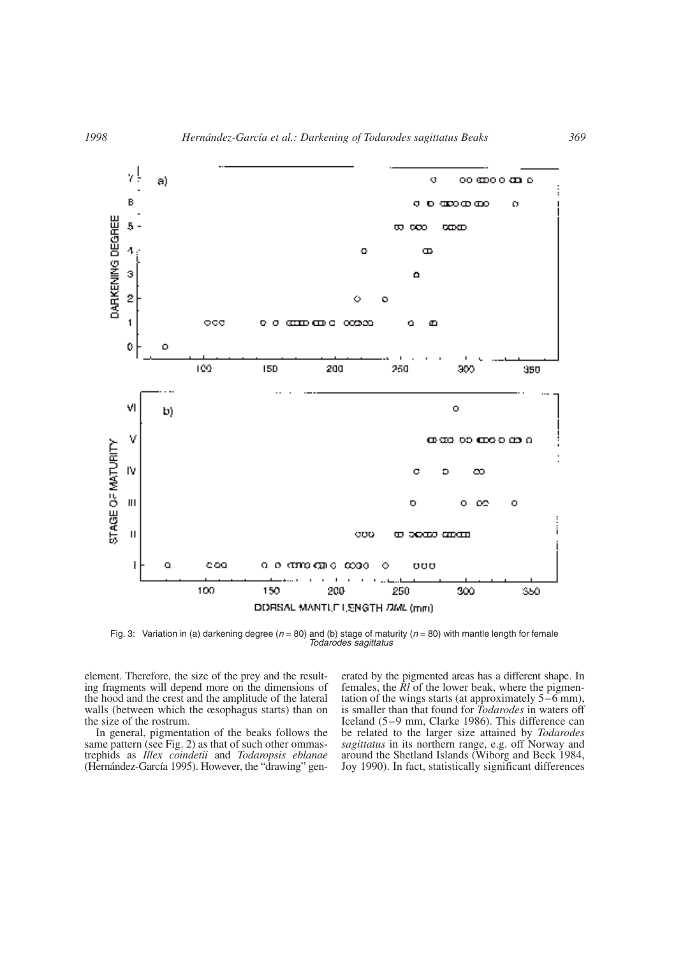

Fig. 3: Variation in (a) darkening degree ( $n = 80$ ) and (b) stage of maturity ( $n = 80$ ) with mantle length for female *Todarodes sagittatus*

element. Therefore, the size of the prey and the resulting fragments will depend more on the dimensions of the hood and the crest and the amplitude of the lateral walls (between which the œsophagus starts) than on the size of the rostrum.

In general, pigmentation of the beaks follows the same pattern (see Fig. 2) as that of such other ommastrephids as *Illex coindetii* and *Todaropsis eblanae* (Hernández-García 1995). However, the "drawing" generated by the pigmented areas has a different shape. In females, the *Rl* of the lower beak, where the pigmentation of the wings starts (at approximately 5–6 mm), is smaller than that found for *Todarodes* in waters off Iceland (5–9 mm, Clarke 1986). This difference can be related to the larger size attained by *Todarodes sagittatus* in its northern range, e.g. off Norway and around the Shetland Islands (Wiborg and Beck 1984, Joy 1990). In fact, statistically significant differences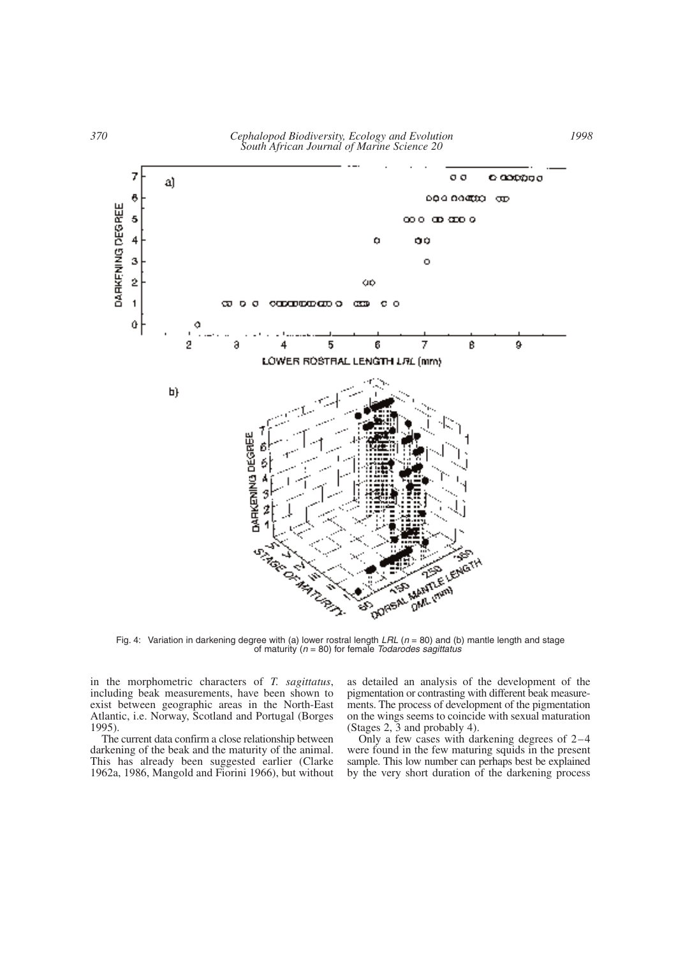

Fig. 4: Variation in darkening degree with (a) lower rostral length *LRL* (*n* = 80) and (b) mantle length and stage of maturity (*n* = 80) for female *Todarodes sagittatus*

in the morphometric characters of *T. sagittatus*, including beak measurements, have been shown to exist between geographic areas in the North-East Atlantic, i.e. Norway, Scotland and Portugal (Borges 1995).

The current data confirm a close relationship between darkening of the beak and the maturity of the animal. This has already been suggested earlier (Clarke 1962a, 1986, Mangold and Fiorini 1966), but without as detailed an analysis of the development of the pigmentation or contrasting with different beak measurements. The process of development of the pigmentation on the wings seems to coincide with sexual maturation (Stages 2, 3 and probably 4).

Only a few cases with darkening degrees of 2–4 were found in the few maturing squids in the present sample. This low number can perhaps best be explained by the very short duration of the darkening process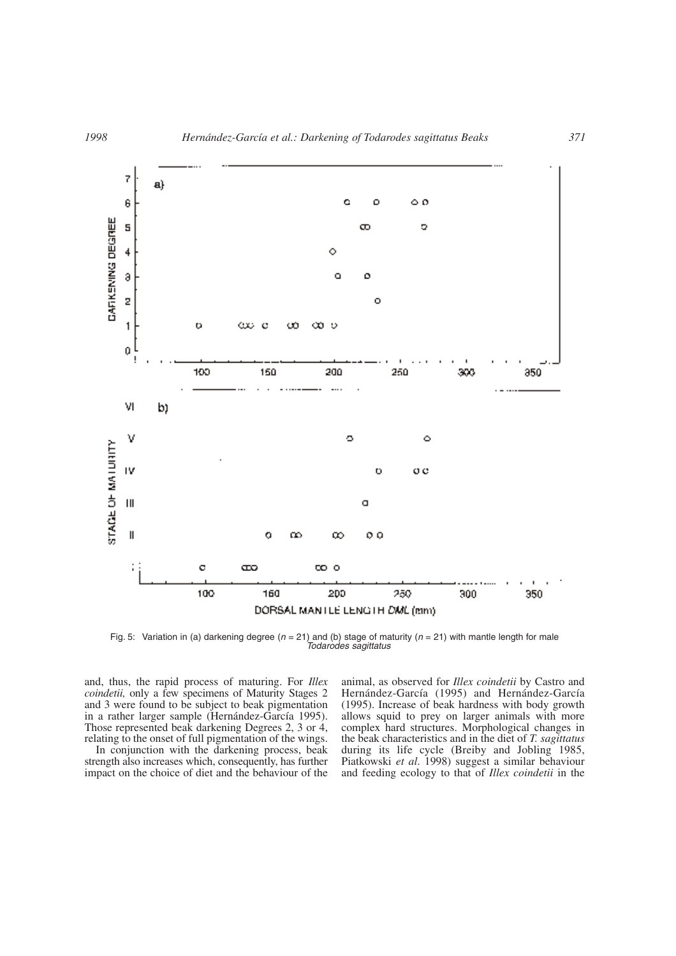

Fig. 5: Variation in (a) darkening degree ( $n = 21$ ) and (b) stage of maturity ( $n = 21$ ) with mantle length for male *Todarodes sagittatus*

and, thus, the rapid process of maturing. For *Illex coindetii,* only a few specimens of Maturity Stages 2 and 3 were found to be subject to beak pigmentation in a rather larger sample (Hernández-García 1995). Those represented beak darkening Degrees 2, 3 or 4, relating to the onset of full pigmentation of the wings.

In conjunction with the darkening process, beak strength also increases which, consequently, has further impact on the choice of diet and the behaviour of the animal, as observed for *Illex coindetii* by Castro and Hernández-García (1995) and Hernández-García (1995). Increase of beak hardness with body growth allows squid to prey on larger animals with more complex hard structures. Morphological changes in the beak characteristics and in the diet of *T. sagittatus* during its life cycle (Breiby and Jobling 1985, Piatkowski *et al*. 1998) suggest a similar behaviour and feeding ecology to that of *Illex coindetii* in the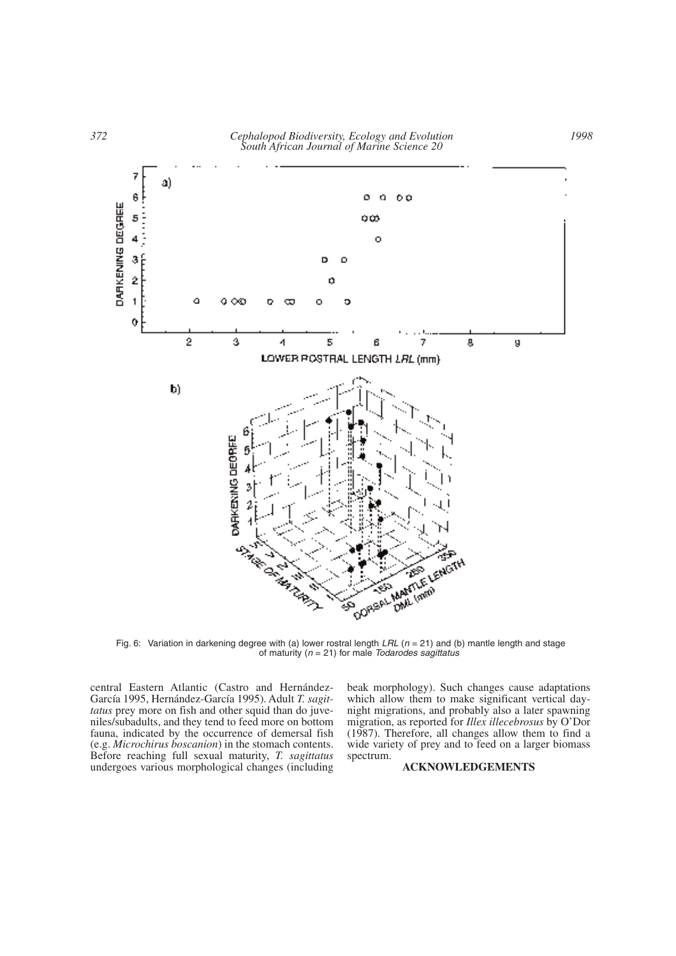

Fig. 6: Variation in darkening degree with (a) lower rostral length *LRL* (*n* = 21) and (b) mantle length and stage of maturity (*n* = 21) for male *Todarodes sagittatus*

central Eastern Atlantic (Castro and Hernández-García 1995, Hernández-García 1995). Adult *T. sagittatus* prey more on fish and other squid than do juveniles/subadults, and they tend to feed more on bottom fauna, indicated by the occurrence of demersal fish (e.g. *Microchirus boscanion*) in the stomach contents. Before reaching full sexual maturity, *T. sagittatus* undergoes various morphological changes (including beak morphology). Such changes cause adaptations which allow them to make significant vertical daynight migrations, and probably also a later spawning migration, as reported for *Illex illecebrosus* by O'Dor (1987). Therefore, all changes allow them to find a wide variety of prey and to feed on a larger biomass spectrum.

## **ACKNOWLEDGEMENTS**